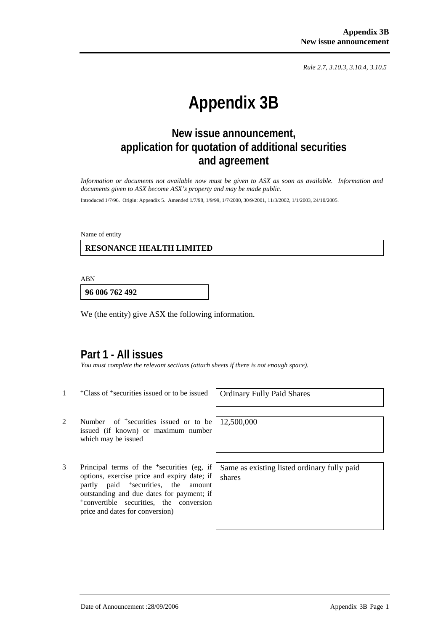*Rule 2.7, 3.10.3, 3.10.4, 3.10.5*

# **Appendix 3B**

# **New issue announcement, application for quotation of additional securities and agreement**

*Information or documents not available now must be given to ASX as soon as available. Information and documents given to ASX become ASX's property and may be made public.* 

Introduced 1/7/96. Origin: Appendix 5. Amended 1/7/98, 1/9/99, 1/7/2000, 30/9/2001, 11/3/2002, 1/1/2003, 24/10/2005.

Name of entity

 **RESONANCE HEALTH LIMITED** 

ABN

**96 006 762 492**

We (the entity) give ASX the following information.

### **Part 1 - All issues**

*You must complete the relevant sections (attach sheets if there is not enough space).* 

<sup>+</sup>Class of <sup>+</sup>securities issued or to be issued | Ordinary Fully Paid Shares

2 Number of <sup>+</sup>securities issued or to be issued (if known) or maximum number which may be issued

3 Principal terms of the +securities (eg, if options, exercise price and expiry date; if partly paid <sup>+</sup>securities, the amount outstanding and due dates for payment; if <sup>+</sup>convertible securities, the conversion price and dates for conversion)

12,500,000

Same as existing listed ordinary fully paid shares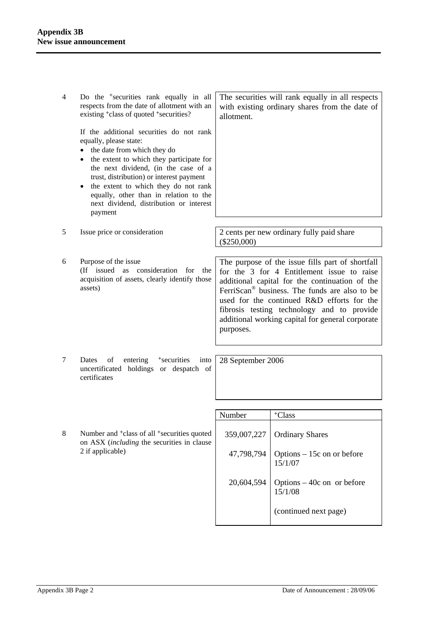| $\overline{4}$ | Do the <sup>+</sup> securities rank equally in all<br>respects from the date of allotment with an<br>existing <sup>+</sup> class of quoted <sup>+</sup> securities?                                                                                                                                                                                                                              | The securities will rank equally in all respects<br>with existing ordinary shares from the date of<br>allotment.                                                                                                                                                                                                                                                           |                                        |
|----------------|--------------------------------------------------------------------------------------------------------------------------------------------------------------------------------------------------------------------------------------------------------------------------------------------------------------------------------------------------------------------------------------------------|----------------------------------------------------------------------------------------------------------------------------------------------------------------------------------------------------------------------------------------------------------------------------------------------------------------------------------------------------------------------------|----------------------------------------|
|                | If the additional securities do not rank<br>equally, please state:<br>the date from which they do<br>٠<br>the extent to which they participate for<br>٠<br>the next dividend, (in the case of a<br>trust, distribution) or interest payment<br>the extent to which they do not rank<br>$\bullet$<br>equally, other than in relation to the<br>next dividend, distribution or interest<br>payment |                                                                                                                                                                                                                                                                                                                                                                            |                                        |
| 5              | Issue price or consideration                                                                                                                                                                                                                                                                                                                                                                     | 2 cents per new ordinary fully paid share<br>$(\$250,000)$                                                                                                                                                                                                                                                                                                                 |                                        |
| 6              | Purpose of the issue<br>(If issued as consideration for the<br>acquisition of assets, clearly identify those<br>assets)                                                                                                                                                                                                                                                                          | The purpose of the issue fills part of shortfall<br>for the 3 for 4 Entitlement issue to raise<br>additional capital for the continuation of the<br>FerriScan <sup>®</sup> business. The funds are also to be<br>used for the continued R&D efforts for the<br>fibrosis testing technology and to provide<br>additional working capital for general corporate<br>purposes. |                                        |
| 7              | <sup>+</sup> securities<br>Dates<br>of<br>entering<br>into<br>uncertificated holdings or despatch of<br>certificates                                                                                                                                                                                                                                                                             | 28 September 2006                                                                                                                                                                                                                                                                                                                                                          |                                        |
|                |                                                                                                                                                                                                                                                                                                                                                                                                  | Number                                                                                                                                                                                                                                                                                                                                                                     | <sup>+</sup> Class                     |
|                |                                                                                                                                                                                                                                                                                                                                                                                                  |                                                                                                                                                                                                                                                                                                                                                                            |                                        |
| 8              | Number and <sup>+</sup> class of all <sup>+</sup> securities quoted<br>on ASX <i>(including the securities in clause</i> )<br>2 if applicable)                                                                                                                                                                                                                                                   | 359,007,227                                                                                                                                                                                                                                                                                                                                                                | <b>Ordinary Shares</b>                 |
|                |                                                                                                                                                                                                                                                                                                                                                                                                  | 47,798,794                                                                                                                                                                                                                                                                                                                                                                 | Options - 15c on or before<br>15/1/07  |
|                |                                                                                                                                                                                                                                                                                                                                                                                                  | 20,604,594                                                                                                                                                                                                                                                                                                                                                                 | Options $-40c$ on or before<br>15/1/08 |
|                |                                                                                                                                                                                                                                                                                                                                                                                                  |                                                                                                                                                                                                                                                                                                                                                                            | (continued next page)                  |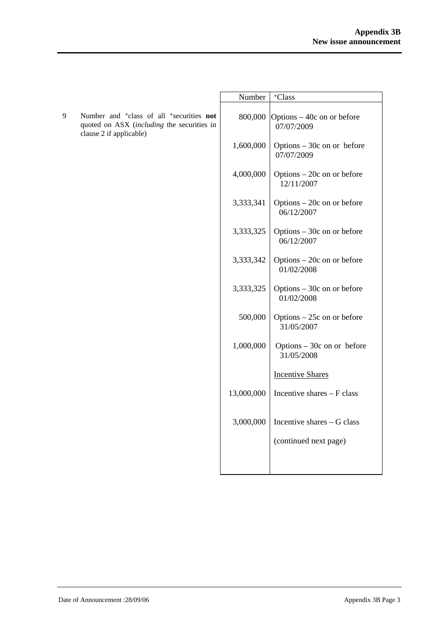|   |                                                                                                                                                  | Number     | <sup>+</sup> Class                        |
|---|--------------------------------------------------------------------------------------------------------------------------------------------------|------------|-------------------------------------------|
| 9 | Number and <sup>+</sup> class of all <sup>+</sup> securities <b>not</b><br>quoted on ASX (including the securities in<br>clause 2 if applicable) | 800,000    | Options – 40c on or before<br>07/07/2009  |
|   |                                                                                                                                                  | 1,600,000  | Options $-30c$ on or before<br>07/07/2009 |
|   |                                                                                                                                                  | 4,000,000  | Options - 20c on or before<br>12/11/2007  |
|   |                                                                                                                                                  | 3,333,341  | Options $-20c$ on or before<br>06/12/2007 |
|   |                                                                                                                                                  | 3,333,325  | Options $-30c$ on or before<br>06/12/2007 |
|   |                                                                                                                                                  | 3,333,342  | Options $-20c$ on or before<br>01/02/2008 |
|   |                                                                                                                                                  | 3,333,325  | Options $-30c$ on or before<br>01/02/2008 |
|   |                                                                                                                                                  | 500,000    | Options $-25c$ on or before<br>31/05/2007 |
|   |                                                                                                                                                  | 1,000,000  | Options $-30c$ on or before<br>31/05/2008 |
|   |                                                                                                                                                  |            | <b>Incentive Shares</b>                   |
|   |                                                                                                                                                  | 13,000,000 | Incentive shares - F class                |
|   |                                                                                                                                                  | 3,000,000  | Incentive shares - G class                |
|   |                                                                                                                                                  |            | (continued next page)                     |
|   |                                                                                                                                                  |            |                                           |
|   |                                                                                                                                                  |            |                                           |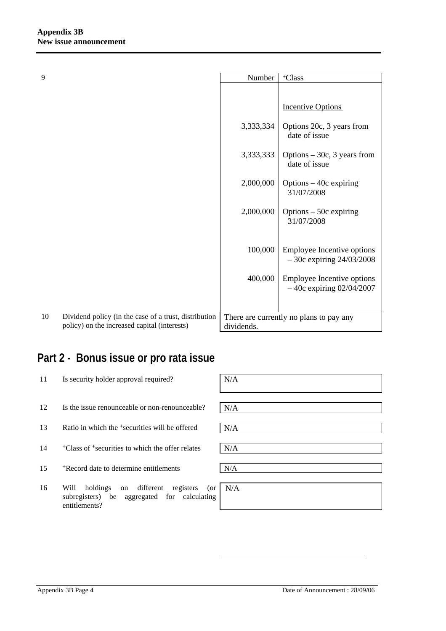| 9  |                                                                                                       | Number     | <sup>+</sup> Class                                         |
|----|-------------------------------------------------------------------------------------------------------|------------|------------------------------------------------------------|
|    |                                                                                                       |            |                                                            |
|    |                                                                                                       |            | <b>Incentive Options</b>                                   |
|    |                                                                                                       | 3,333,334  | Options 20c, 3 years from<br>date of issue                 |
|    |                                                                                                       | 3,333,333  | Options $-30c$ , 3 years from<br>date of issue             |
|    |                                                                                                       | 2,000,000  | Options $-40c$ expiring<br>31/07/2008                      |
|    |                                                                                                       | 2,000,000  | Options $-50c$ expiring<br>31/07/2008                      |
|    |                                                                                                       | 100,000    | Employee Incentive options<br>$-30c$ expiring $24/03/2008$ |
|    |                                                                                                       | 400,000    | Employee Incentive options<br>$-40c$ expiring 02/04/2007   |
|    |                                                                                                       |            |                                                            |
| 10 | Dividend policy (in the case of a trust, distribution<br>policy) on the increased capital (interests) | dividends. | There are currently no plans to pay any                    |

# **Part 2 - Bonus issue or pro rata issue**

| 11 | Is security holder approval required?                                                                                   | N/A |  |
|----|-------------------------------------------------------------------------------------------------------------------------|-----|--|
| 12 | Is the issue renounceable or non-renounceable?                                                                          | N/A |  |
| 13 | Ratio in which the <sup>+</sup> securities will be offered                                                              | N/A |  |
| 14 | <sup>+</sup> Class of <sup>+</sup> securities to which the offer relates                                                | N/A |  |
| 15 | *Record date to determine entitlements                                                                                  | N/A |  |
| 16 | different<br>Will<br>holdings<br>registers<br>(or<br>on<br>subregisters) be aggregated for calculating<br>entitlements? | N/A |  |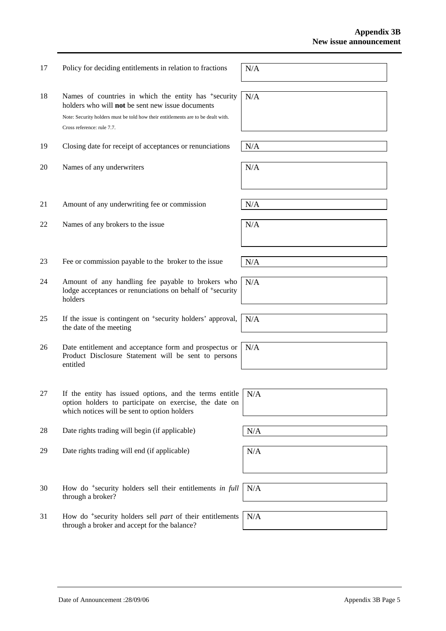18 Names of countries in which the entity has <sup>+</sup>security holders who will **not** be sent new issue documents Note: Security holders must be told how their entitlements are to be dealt with. Cross reference: rule 7.7. N/A 19 Closing date for receipt of acceptances or renunciations  $N/A$ 20 Names of any underwriters  $N/A$ 

17 Policy for deciding entitlements in relation to fractions  $N/A$ 

- 21 Amount of any underwriting fee or commission  $N/A$
- 22 Names of any brokers to the issue  $N/A$
- 23 Fee or commission payable to the broker to the issue  $N/A$
- 24 Amount of any handling fee payable to brokers who lodge acceptances or renunciations on behalf of <sup>+</sup>security holders
- 25 If the issue is contingent on +security holders' approval, the date of the meeting
- 26 Date entitlement and acceptance form and prospectus or Product Disclosure Statement will be sent to persons entitled
- 27 If the entity has issued options, and the terms entitle option holders to participate on exercise, the date on which notices will be sent to option holders
- 28 Date rights trading will begin (if applicable)  $N/A$
- 29 Date rights trading will end (if applicable)  $N/A$
- 30 How do +security holders sell their entitlements *in full* through a broker? N/A
- 31 How do +security holders sell *part* of their entitlements through a broker and accept for the balance? N/A

N/A

N/A

N/A

N/A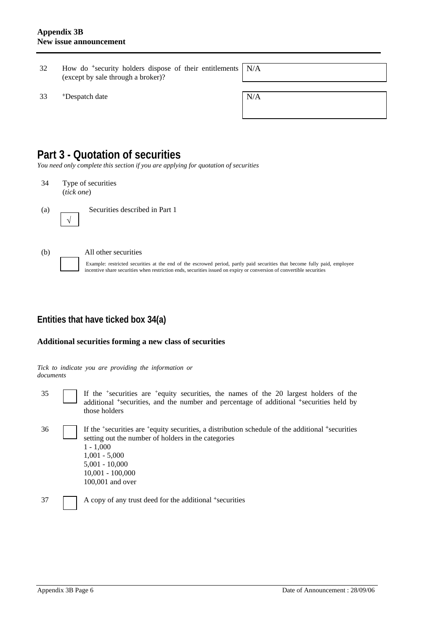- 32 How do +security holders dispose of their entitlements (except by sale through a broker)? N/A
- $33$  +Despatch date  $N/A$

| - |  |  |  |
|---|--|--|--|
|   |  |  |  |
|   |  |  |  |
|   |  |  |  |
|   |  |  |  |
|   |  |  |  |
|   |  |  |  |
|   |  |  |  |

## **Part 3 - Quotation of securities**

*You need only complete this section if you are applying for quotation of securities* 

34 Type of securities (*tick one*)



(a) Securities described in Part 1



√

#### (b) All other securities

Example: restricted securities at the end of the escrowed period, partly paid securities that become fully paid, employee incentive share securities when restriction ends, securities issued on expiry or conversion of convertible securities

### **Entities that have ticked box 34(a)**

#### **Additional securities forming a new class of securities**

*Tick to indicate you are providing the information or documents*

35 If the +securities are +equity securities, the names of the 20 largest holders of the additional <sup>+</sup>securities, and the number and percentage of additional <sup>+</sup>securities held by those holders

36 If the +securities are +equity securities, a distribution schedule of the additional +securities setting out the number of holders in the categories  $1 - 1,000$ 1,001 - 5,000 5,001 - 10,000 10,001 - 100,000 100,001 and over

37 A copy of any trust deed for the additional +securities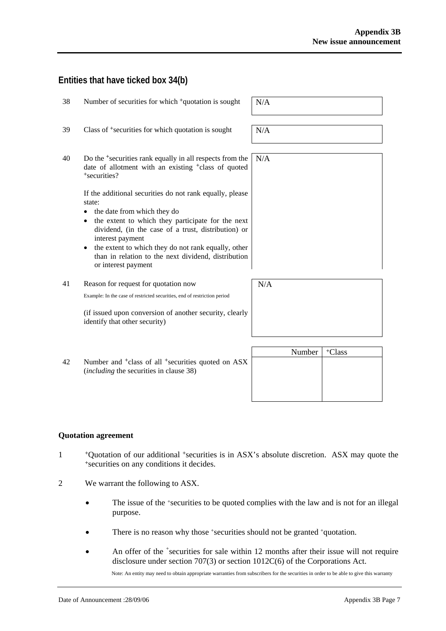### **Entities that have ticked box 34(b)**

| 38 | Number of securities for which <sup>+</sup> quotation is sought                                                                                                                                                                                                                                                                                                                     | N/A    |
|----|-------------------------------------------------------------------------------------------------------------------------------------------------------------------------------------------------------------------------------------------------------------------------------------------------------------------------------------------------------------------------------------|--------|
| 39 | Class of <sup>+</sup> securities for which quotation is sought                                                                                                                                                                                                                                                                                                                      | N/A    |
| 40 | Do the <sup>+</sup> securities rank equally in all respects from the<br>date of allotment with an existing <sup>+</sup> class of quoted<br><sup>+</sup> securities?                                                                                                                                                                                                                 | N/A    |
|    | If the additional securities do not rank equally, please<br>state:<br>the date from which they do<br>the extent to which they participate for the next<br>$\bullet$<br>dividend, (in the case of a trust, distribution) or<br>interest payment<br>the extent to which they do not rank equally, other<br>than in relation to the next dividend, distribution<br>or interest payment |        |
| 41 | Reason for request for quotation now                                                                                                                                                                                                                                                                                                                                                | N/A    |
|    | Example: In the case of restricted securities, end of restriction period                                                                                                                                                                                                                                                                                                            |        |
|    | (if issued upon conversion of another security, clearly<br>identify that other security)                                                                                                                                                                                                                                                                                            |        |
|    |                                                                                                                                                                                                                                                                                                                                                                                     | $\sim$ |

Number | <sup>+</sup>Class 42 Number and <sup>+</sup>class of all <sup>+</sup>securities quoted on ASX (*including* the securities in clause 38)

#### **Quotation agreement**

- <sup>+</sup>Quotation of our additional <sup>+</sup>securities is in ASX's absolute discretion. ASX may quote the <sup>+</sup>securities on any conditions it decides.
- 2 We warrant the following to ASX.
	- The issue of the +securities to be quoted complies with the law and is not for an illegal purpose.
	- There is no reason why those +securities should not be granted +quotation.
	- An offer of the <sup>+</sup>securities for sale within 12 months after their issue will not require disclosure under section 707(3) or section 1012C(6) of the Corporations Act.

Note: An entity may need to obtain appropriate warranties from subscribers for the securities in order to be able to give this warranty